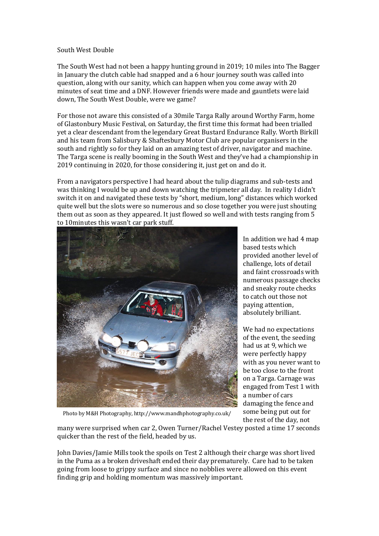## South West Double

The South West had not been a happy hunting ground in 2019; 10 miles into The Bagger in January the clutch cable had snapped and a 6 hour journey south was called into question, along with our sanity, which can happen when you come away with 20 minutes of seat time and a DNF. However friends were made and gauntlets were laid down, The South West Double, were we game?

For those not aware this consisted of a 30mile Targa Rally around Worthy Farm, home of Glastonbury Music Festival, on Saturday, the first time this format had been trialled yet a clear descendant from the legendary Great Bustard Endurance Rally. Worth Birkill and his team from Salisbury & Shaftesbury Motor Club are popular organisers in the south and rightly so for they laid on an amazing test of driver, navigator and machine. The Targa scene is really booming in the South West and they've had a championship in 2019 continuing in 2020, for those considering it, just get on and do it.

From a navigators perspective I had heard about the tulip diagrams and sub-tests and was thinking I would be up and down watching the tripmeter all day. In reality I didn't switch it on and navigated these tests by "short, medium, long" distances which worked quite well but the slots were so numerous and so close together you were just shouting them out as soon as they appeared. It just flowed so well and with tests ranging from 5 to 10minutes this wasn't car park stuff.



Photo by M&H Photography, http://www.mandhphotography.co.uk/

In addition we had 4 map based tests which provided another level of challenge, lots of detail and faint crossroads with numerous passage checks and sneaky route checks to catch out those not paying attention, absolutely brilliant.

We had no expectations of the event, the seeding had us at 9, which we were perfectly happy with as you never want to be too close to the front on a Targa. Carnage was engaged from Test 1 with a number of cars damaging the fence and some being put out for the rest of the day, not

many were surprised when car 2, Owen Turner/Rachel Vestey posted a time 17 seconds quicker than the rest of the field, headed by us.

John Davies/Jamie Mills took the spoils on Test 2 although their charge was short lived in the Puma as a broken driveshaft ended their day prematurely. Care had to be taken going from loose to grippy surface and since no nobblies were allowed on this event finding grip and holding momentum was massively important.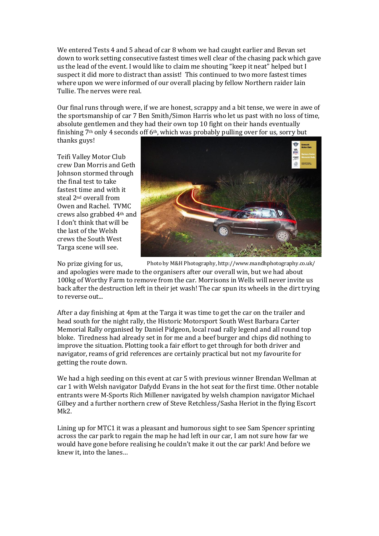We entered Tests 4 and 5 ahead of car 8 whom we had caught earlier and Bevan set down to work setting consecutive fastest times well clear of the chasing pack which gave us the lead of the event. I would like to claim me shouting "keep it neat" helped but I suspect it did more to distract than assist! This continued to two more fastest times where upon we were informed of our overall placing by fellow Northern raider Iain Tullie. The nerves were real.

Our final runs through were, if we are honest, scrappy and a bit tense, we were in awe of the sportsmanship of car 7 Ben Smith/Simon Harris who let us past with no loss of time, absolute gentlemen and they had their own top 10 fight on their hands eventually finishing 7th only 4 seconds off 6th, which was probably pulling over for us, sorry but thanks guys!

Teifi Valley Motor Club crew Dan Morris and Geth Johnson stormed through the final test to take fastest time and with it steal 2nd overall from Owen and Rachel. TVMC crews also grabbed 4th and I don't think that will be the last of the Welsh crews the South West Targa scene will see.



No prize giving for us, and apologies were made to the organisers after our overall win, but we had about 100kg of Worthy Farm to remove from the car. Morrisons in Wells will never invite us back after the destruction left in their jet wash! The car spun its wheels in the dirt trying to reverse out... Photo by M&H Photography, http://www.mandhphotography.co.uk/

After a day finishing at 4pm at the Targa it was time to get the car on the trailer and head south for the night rally, the Historic Motorsport South West Barbara Carter Memorial Rally organised by Daniel Pidgeon, local road rally legend and all round top bloke. Tiredness had already set in for me and a beef burger and chips did nothing to improve the situation. Plotting took a fair effort to get through for both driver and navigator, reams of grid references are certainly practical but not my favourite for getting the route down.

We had a high seeding on this event at car 5 with previous winner Brendan Wellman at car 1 with Welsh navigator Dafydd Evans in the hot seat for the first time. Other notable entrants were M-Sports Rich Millener navigated by welsh champion navigator Michael Gilbey and a further northern crew of Steve Retchless/Sasha Heriot in the flying Escort Mk2.

Lining up for MTC1 it was a pleasant and humorous sight to see Sam Spencer sprinting across the car park to regain the map he had left in our car, I am not sure how far we would have gone before realising he couldn't make it out the car park! And before we knew it, into the lanes…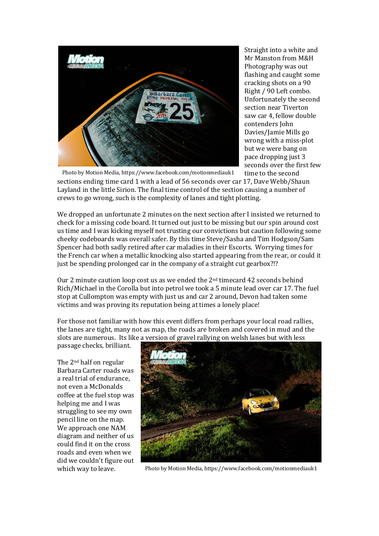

Straight into a white and Mr Manston from M&H Photography was out flashing and caught some cracking shots on a 90 Right / 90 Left combo. Unfortunately the second section near Tiverton saw car 4, fellow double contenders John Davies/Jamie Mills go wrong with a miss-plot but we were bang on pace dropping just 3 seconds over the first few time to the second

sections ending time card 1 with a lead of 56 seconds over car 17, Dave Webb/Shaun Layland in the little Sirion. The final time control of the section causing a number of crews to go wrong, such is the complexity of lanes and tight plotting.

We dropped an unfortunate 2 minutes on the next section after I insisted we returned to check for a missing code board. It turned out just to be missing but our spin around cost us time and I was kicking myself not trusting our convictions but caution following some cheeky codeboards was overall safer. By this time Steve/Sasha and Tim Hodgson/Sam Spencer had both sadly retired after car maladies in their Escorts. Worrying times for the French car when a metallic knocking also started appearing from the rear, or could it just be spending prolonged car in the company of a straight cut gearbox?!?

Our 2 minute caution loop cost us as we ended the 2nd timecard 42 seconds behind Rich/Michael in the Corolla but into petrol we took a 5 minute lead over car 17. The fuel stop at Cullompton was empty with just us and car 2 around, Devon had taken some victims and was proving its reputation being at times a lonely place!

For those not familiar with how this event differs from perhaps your local road rallies, the lanes are tight, many not as map, the roads are broken and covered in mud and the slots are numerous. Its like a version of gravel rallying on welsh lanes but with less

passage checks, brilliant.

The 2nd half on regular Barbara Carter roads was a real trial of endurance, not even a McDonalds coffee at the fuel stop was helping me and I was struggling to see my own pencil line on the map. We approach one NAM diagram and neither of us could find it on the cross roads and even when we did we couldn't figure out which way to leave.



Photo by Motion Media, https://www.facebook.com/motionmediauk1